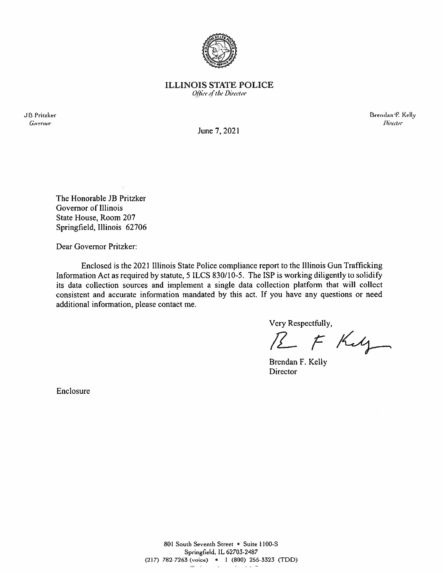

**ILLINOIS STATE POLICE** Office of the Director

**JB** Pritzker Governor

Brendan F. Kelly **Director** 

June 7, 2021

The Honorable JB Pritzker Governor of Illinois State House, Room 207 Springfield, Illinois 62706

Dear Governor Pritzker:

Enclosed is the 2021 Illinois State Police compliance report to the Illinois Gun Trafficking Information Act as required by statute, 5 ILCS 830/10-5. The ISP is working diligently to solidify its data collection sources and implement a single data collection platform that will collect consistent and accurate information mandated by this act. If you have any questions or need additional information, please contact me.

Very Respectfully,

R F Ky

Brendan F. Kelly Director

Enclosure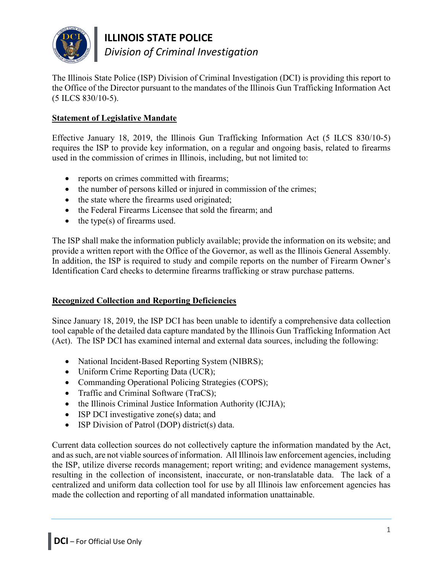

**ILLINOIS STATE POLICE** *Division of Criminal Investigation*

The Illinois State Police (ISP) Division of Criminal Investigation (DCI) is providing this report to the Office of the Director pursuant to the mandates of the Illinois Gun Trafficking Information Act (5 ILCS 830/10-5).

# **Statement of Legislative Mandate**

Effective January 18, 2019, the Illinois Gun Trafficking Information Act (5 ILCS 830/10-5) requires the ISP to provide key information, on a regular and ongoing basis, related to firearms used in the commission of crimes in Illinois, including, but not limited to:

- reports on crimes committed with firearms;
- the number of persons killed or injured in commission of the crimes;
- the state where the firearms used originated;
- the Federal Firearms Licensee that sold the firearm; and
- the type(s) of firearms used.

The ISP shall make the information publicly available; provide the information on its website; and provide a written report with the Office of the Governor, as well as the Illinois General Assembly. In addition, the ISP is required to study and compile reports on the number of Firearm Owner's Identification Card checks to determine firearms trafficking or straw purchase patterns.

# **Recognized Collection and Reporting Deficiencies**

Since January 18, 2019, the ISP DCI has been unable to identify a comprehensive data collection tool capable of the detailed data capture mandated by the Illinois Gun Trafficking Information Act (Act). The ISP DCI has examined internal and external data sources, including the following:

- National Incident-Based Reporting System (NIBRS);
- Uniform Crime Reporting Data (UCR);
- Commanding Operational Policing Strategies (COPS);
- Traffic and Criminal Software (TraCS);
- the Illinois Criminal Justice Information Authority (ICJIA);
- ISP DCI investigative zone(s) data; and
- ISP Division of Patrol (DOP) district(s) data.

Current data collection sources do not collectively capture the information mandated by the Act, and as such, are not viable sources of information. All Illinois law enforcement agencies, including the ISP, utilize diverse records management; report writing; and evidence management systems, resulting in the collection of inconsistent, inaccurate, or non-translatable data. The lack of a centralized and uniform data collection tool for use by all Illinois law enforcement agencies has made the collection and reporting of all mandated information unattainable.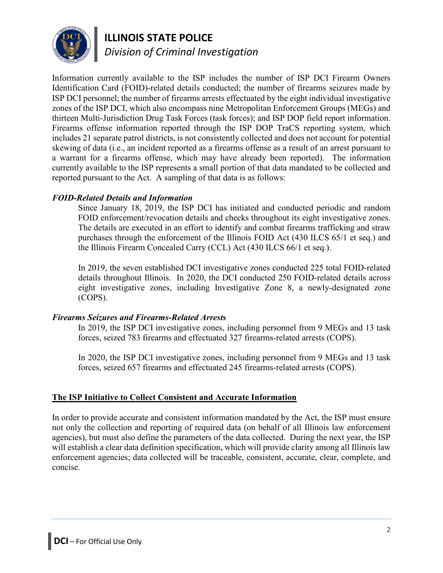

# **ILLINOIS STATE POLICE**

*Division of Criminal Investigation*

Information currently available to the ISP includes the number of ISP DCI Firearm Owners Identification Card (FOID)-related details conducted; the number of firearms seizures made by ISP DCI personnel; the number of firearms arrests effectuated by the eight individual investigative zones of the ISP DCI, which also encompass nine Metropolitan Enforcement Groups (MEGs) and thirteen Multi-Jurisdiction Drug Task Forces (task forces); and ISP DOP field report information. Firearms offense information reported through the ISP DOP TraCS reporting system, which includes 21 separate patrol districts, is not consistently collected and does not account for potential skewing of data (i.e., an incident reported as a firearms offense as a result of an arrest pursuant to a warrant for a firearms offense, which may have already been reported). The information currently available to the ISP represents a small portion of that data mandated to be collected and reported pursuant to the Act. A sampling of that data is as follows:

# *FOID-Related Details and Information*

Since January 18, 2019, the ISP DCI has initiated and conducted periodic and random FOID enforcement/revocation details and checks throughout its eight investigative zones. The details are executed in an effort to identify and combat firearms trafficking and straw purchases through the enforcement of the Illinois FOID Act (430 ILCS 65/1 et seq.) and the Illinois Firearm Concealed Carry (CCL) Act (430 ILCS 66/1 et seq.).

In 2019, the seven established DCI investigative zones conducted 225 total FOID-related details throughout Illinois. In 2020, the DCI conducted 250 FOID-related details across eight investigative zones, including Investigative Zone 8, a newly-designated zone (COPS).

# *Firearms Seizures and Firearms-Related Arrests*

In 2019, the ISP DCI investigative zones, including personnel from 9 MEGs and 13 task forces, seized 783 firearms and effectuated 327 firearms-related arrests (COPS).

In 2020, the ISP DCI investigative zones, including personnel from 9 MEGs and 13 task forces, seized 657 firearms and effectuated 245 firearms-related arrests (COPS).

# **The ISP Initiative to Collect Consistent and Accurate Information**

In order to provide accurate and consistent information mandated by the Act, the ISP must ensure not only the collection and reporting of required data (on behalf of all Illinois law enforcement agencies), but must also define the parameters of the data collected. During the next year, the ISP will establish a clear data definition specification, which will provide clarity among all Illinois law enforcement agencies; data collected will be traceable, consistent, accurate, clear, complete, and concise.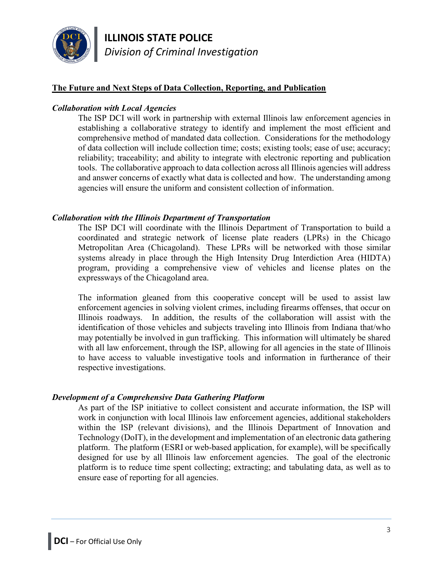

**ILLINOIS STATE POLICE** *Division of Criminal Investigation*

## **The Future and Next Steps of Data Collection, Reporting, and Publication**

#### *Collaboration with Local Agencies*

The ISP DCI will work in partnership with external Illinois law enforcement agencies in establishing a collaborative strategy to identify and implement the most efficient and comprehensive method of mandated data collection. Considerations for the methodology of data collection will include collection time; costs; existing tools; ease of use; accuracy; reliability; traceability; and ability to integrate with electronic reporting and publication tools. The collaborative approach to data collection across all Illinois agencies will address and answer concerns of exactly what data is collected and how. The understanding among agencies will ensure the uniform and consistent collection of information.

#### *Collaboration with the Illinois Department of Transportation*

The ISP DCI will coordinate with the Illinois Department of Transportation to build a coordinated and strategic network of license plate readers (LPRs) in the Chicago Metropolitan Area (Chicagoland). These LPRs will be networked with those similar systems already in place through the High Intensity Drug Interdiction Area (HIDTA) program, providing a comprehensive view of vehicles and license plates on the expressways of the Chicagoland area.

The information gleaned from this cooperative concept will be used to assist law enforcement agencies in solving violent crimes, including firearms offenses, that occur on Illinois roadways. In addition, the results of the collaboration will assist with the identification of those vehicles and subjects traveling into Illinois from Indiana that/who may potentially be involved in gun trafficking. This information will ultimately be shared with all law enforcement, through the ISP, allowing for all agencies in the state of Illinois to have access to valuable investigative tools and information in furtherance of their respective investigations.

#### *Development of a Comprehensive Data Gathering Platform*

As part of the ISP initiative to collect consistent and accurate information, the ISP will work in conjunction with local Illinois law enforcement agencies, additional stakeholders within the ISP (relevant divisions), and the Illinois Department of Innovation and Technology (DoIT), in the development and implementation of an electronic data gathering platform. The platform (ESRI or web-based application, for example), will be specifically designed for use by all Illinois law enforcement agencies. The goal of the electronic platform is to reduce time spent collecting; extracting; and tabulating data, as well as to ensure ease of reporting for all agencies.